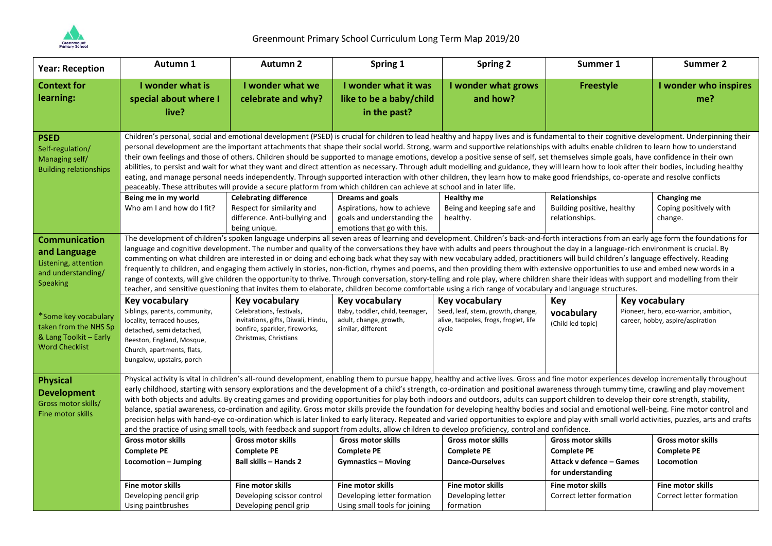

| <b>Year: Reception</b>                                                                                | Autumn 1                                                                                                                                                                                                                                                                                                                                                                                                                                                                                                                                                                                                                                                                                                                                                                                                                                                                                                                                                                                                                                                                                                                                                                                                                                                                                                     | <b>Autumn 2</b>                                                                                                          | Spring 1                                                                                  | <b>Spring 2</b>                                                                     | Summer 1                                      | <b>Summer 2</b>                                                           |  |
|-------------------------------------------------------------------------------------------------------|--------------------------------------------------------------------------------------------------------------------------------------------------------------------------------------------------------------------------------------------------------------------------------------------------------------------------------------------------------------------------------------------------------------------------------------------------------------------------------------------------------------------------------------------------------------------------------------------------------------------------------------------------------------------------------------------------------------------------------------------------------------------------------------------------------------------------------------------------------------------------------------------------------------------------------------------------------------------------------------------------------------------------------------------------------------------------------------------------------------------------------------------------------------------------------------------------------------------------------------------------------------------------------------------------------------|--------------------------------------------------------------------------------------------------------------------------|-------------------------------------------------------------------------------------------|-------------------------------------------------------------------------------------|-----------------------------------------------|---------------------------------------------------------------------------|--|
| <b>Context for</b><br>learning:                                                                       | I wonder what is<br>special about where I<br>live?                                                                                                                                                                                                                                                                                                                                                                                                                                                                                                                                                                                                                                                                                                                                                                                                                                                                                                                                                                                                                                                                                                                                                                                                                                                           | I wonder what we<br>celebrate and why?                                                                                   | I wonder what it was<br>like to be a baby/child<br>in the past?                           | I wonder what grows<br>and how?                                                     | <b>Freestyle</b>                              | I wonder who inspires<br>me?                                              |  |
| <b>PSED</b><br>Self-regulation/<br>Managing self/<br><b>Building relationships</b>                    | Children's personal, social and emotional development (PSED) is crucial for children to lead healthy and happy lives and is fundamental to their cognitive development. Underpinning their<br>personal development are the important attachments that shape their social world. Strong, warm and supportive relationships with adults enable children to learn how to understand<br>their own feelings and those of others. Children should be supported to manage emotions, develop a positive sense of self, set themselves simple goals, have confidence in their own<br>abilities, to persist and wait for what they want and direct attention as necessary. Through adult modelling and guidance, they will learn how to look after their bodies, including healthy<br>eating, and manage personal needs independently. Through supported interaction with other children, they learn how to make good friendships, co-operate and resolve conflicts<br>peaceably. These attributes will provide a secure platform from which children can achieve at school and in later life.                                                                                                                                                                                                                         |                                                                                                                          |                                                                                           |                                                                                     |                                               |                                                                           |  |
|                                                                                                       | Being me in my world                                                                                                                                                                                                                                                                                                                                                                                                                                                                                                                                                                                                                                                                                                                                                                                                                                                                                                                                                                                                                                                                                                                                                                                                                                                                                         | <b>Celebrating difference</b>                                                                                            | <b>Dreams and goals</b>                                                                   | <b>Healthy me</b>                                                                   | Relationships                                 | Changing me                                                               |  |
|                                                                                                       | Who am I and how do I fit?                                                                                                                                                                                                                                                                                                                                                                                                                                                                                                                                                                                                                                                                                                                                                                                                                                                                                                                                                                                                                                                                                                                                                                                                                                                                                   | Respect for similarity and<br>difference. Anti-bullying and<br>being unique.                                             | Aspirations, how to achieve<br>goals and understanding the<br>emotions that go with this. | Being and keeping safe and<br>healthy.                                              | Building positive, healthy<br>relationships.  | Coping positively with<br>change.                                         |  |
| <b>Communication</b><br>and Language<br>Listening, attention<br>and understanding/<br><b>Speaking</b> | The development of children's spoken language underpins all seven areas of learning and development. Children's back-and-forth interactions from an early age form the foundations for<br>language and cognitive development. The number and quality of the conversations they have with adults and peers throughout the day in a language-rich environment is crucial. By<br>commenting on what children are interested in or doing and echoing back what they say with new vocabulary added, practitioners will build children's language effectively. Reading<br>frequently to children, and engaging them actively in stories, non-fiction, rhymes and poems, and then providing them with extensive opportunities to use and embed new words in a<br>range of contexts, will give children the opportunity to thrive. Through conversation, story-telling and role play, where children share their ideas with support and modelling from their<br>teacher, and sensitive questioning that invites them to elaborate, children become comfortable using a rich range of vocabulary and language structures.                                                                                                                                                                                             |                                                                                                                          |                                                                                           |                                                                                     |                                               |                                                                           |  |
|                                                                                                       | Key vocabulary                                                                                                                                                                                                                                                                                                                                                                                                                                                                                                                                                                                                                                                                                                                                                                                                                                                                                                                                                                                                                                                                                                                                                                                                                                                                                               | Key vocabulary                                                                                                           | Key vocabulary                                                                            | <b>Key vocabulary</b>                                                               | Key                                           | Key vocabulary                                                            |  |
| *Some key vocabulary<br>taken from the NHS Sp<br>& Lang Toolkit - Early<br><b>Word Checklist</b>      | Siblings, parents, community,<br>locality, terraced houses,<br>detached, semi detached,<br>Beeston, England, Mosque,<br>Church, apartments, flats,<br>bungalow, upstairs, porch                                                                                                                                                                                                                                                                                                                                                                                                                                                                                                                                                                                                                                                                                                                                                                                                                                                                                                                                                                                                                                                                                                                              | Celebrations, festivals,<br>invitations, gifts, Diwali, Hindu,<br>bonfire, sparkler, fireworks,<br>Christmas, Christians | Baby, toddler, child, teenager,<br>adult, change, growth,<br>similar, different           | Seed, leaf, stem, growth, change,<br>alive, tadpoles, frogs, froglet, life<br>cycle | vocabulary<br>(Child led topic)               | Pioneer, hero, eco-warrior, ambition,<br>career, hobby, aspire/aspiration |  |
| <b>Physical</b><br><b>Development</b><br>Gross motor skills/<br>Fine motor skills                     | Physical activity is vital in children's all-round development, enabling them to pursue happy, healthy and active lives. Gross and fine motor experiences develop incrementally throughout<br>early childhood, starting with sensory explorations and the development of a child's strength, co-ordination and positional awareness through tummy time, crawling and play movement<br>with both objects and adults. By creating games and providing opportunities for play both indoors and outdoors, adults can support children to develop their core strength, stability,<br>balance, spatial awareness, co-ordination and agility. Gross motor skills provide the foundation for developing healthy bodies and social and emotional well-being. Fine motor control and<br>precision helps with hand-eye co-ordination which is later linked to early literacy. Repeated and varied opportunities to explore and play with small world activities, puzzles, arts and crafts<br>and the practice of using small tools, with feedback and support from adults, allow children to develop proficiency, control and confidence.<br><b>Gross motor skills</b><br><b>Gross motor skills</b><br><b>Gross motor skills</b><br><b>Gross motor skills</b><br><b>Gross motor skills</b><br><b>Gross motor skills</b> |                                                                                                                          |                                                                                           |                                                                                     |                                               |                                                                           |  |
|                                                                                                       | <b>Complete PE</b>                                                                                                                                                                                                                                                                                                                                                                                                                                                                                                                                                                                                                                                                                                                                                                                                                                                                                                                                                                                                                                                                                                                                                                                                                                                                                           | <b>Complete PE</b>                                                                                                       | <b>Complete PE</b>                                                                        | <b>Complete PE</b>                                                                  | <b>Complete PE</b>                            | <b>Complete PE</b>                                                        |  |
|                                                                                                       | Locomotion - Jumping                                                                                                                                                                                                                                                                                                                                                                                                                                                                                                                                                                                                                                                                                                                                                                                                                                                                                                                                                                                                                                                                                                                                                                                                                                                                                         | <b>Ball skills - Hands 2</b>                                                                                             | <b>Gymnastics - Moving</b>                                                                | <b>Dance-Ourselves</b>                                                              | Attack v defence – Games<br>for understanding | Locomotion                                                                |  |
|                                                                                                       | Fine motor skills                                                                                                                                                                                                                                                                                                                                                                                                                                                                                                                                                                                                                                                                                                                                                                                                                                                                                                                                                                                                                                                                                                                                                                                                                                                                                            | <b>Fine motor skills</b>                                                                                                 | Fine motor skills                                                                         | Fine motor skills                                                                   | Fine motor skills                             | <b>Fine motor skills</b>                                                  |  |
|                                                                                                       | Developing pencil grip<br>Using paintbrushes                                                                                                                                                                                                                                                                                                                                                                                                                                                                                                                                                                                                                                                                                                                                                                                                                                                                                                                                                                                                                                                                                                                                                                                                                                                                 | Developing scissor control<br>Developing pencil grip                                                                     | Developing letter formation<br>Using small tools for joining                              | Developing letter<br>formation                                                      | Correct letter formation                      | Correct letter formation                                                  |  |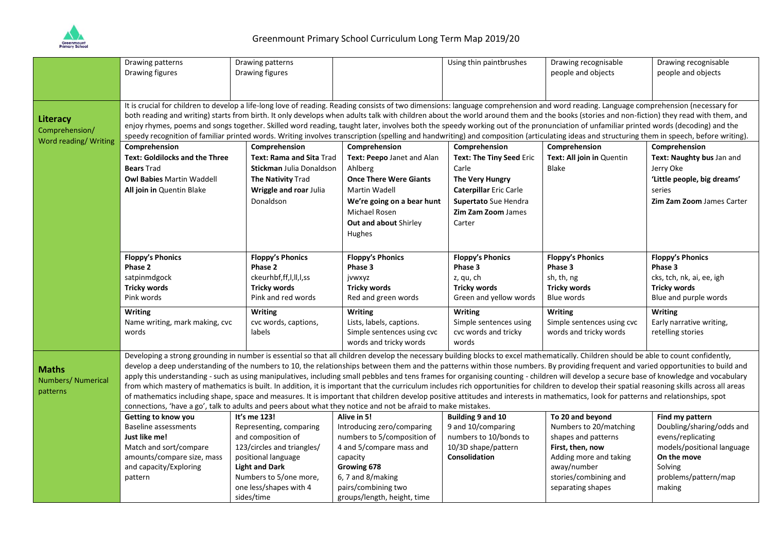

|                       | Drawing patterns                                                                                                                                                                                                                                                                                                                                                                  | Drawing patterns                                                                                                                                                                          |                                                                                                                                                                                        | Using thin paintbrushes       | Drawing recognisable       | Drawing recognisable        |  |  |  |
|-----------------------|-----------------------------------------------------------------------------------------------------------------------------------------------------------------------------------------------------------------------------------------------------------------------------------------------------------------------------------------------------------------------------------|-------------------------------------------------------------------------------------------------------------------------------------------------------------------------------------------|----------------------------------------------------------------------------------------------------------------------------------------------------------------------------------------|-------------------------------|----------------------------|-----------------------------|--|--|--|
|                       | Drawing figures                                                                                                                                                                                                                                                                                                                                                                   | Drawing figures                                                                                                                                                                           |                                                                                                                                                                                        |                               | people and objects         | people and objects          |  |  |  |
|                       |                                                                                                                                                                                                                                                                                                                                                                                   |                                                                                                                                                                                           |                                                                                                                                                                                        |                               |                            |                             |  |  |  |
|                       |                                                                                                                                                                                                                                                                                                                                                                                   |                                                                                                                                                                                           |                                                                                                                                                                                        |                               |                            |                             |  |  |  |
|                       | It is crucial for children to develop a life-long love of reading. Reading consists of two dimensions: language comprehension and word reading. Language comprehension (necessary for                                                                                                                                                                                             |                                                                                                                                                                                           |                                                                                                                                                                                        |                               |                            |                             |  |  |  |
| Literacy              |                                                                                                                                                                                                                                                                                                                                                                                   | both reading and writing) starts from birth. It only develops when adults talk with children about the world around them and the books (stories and non-fiction) they read with them, and |                                                                                                                                                                                        |                               |                            |                             |  |  |  |
| Comprehension/        | enjoy rhymes, poems and songs together. Skilled word reading, taught later, involves both the speedy working out of the pronunciation of unfamiliar printed words (decoding) and the                                                                                                                                                                                              |                                                                                                                                                                                           |                                                                                                                                                                                        |                               |                            |                             |  |  |  |
| Word reading/ Writing | speedy recognition of familiar printed words. Writing involves transcription (spelling and handwriting) and composition (articulating ideas and structuring them in speech, before writing).                                                                                                                                                                                      |                                                                                                                                                                                           |                                                                                                                                                                                        |                               |                            |                             |  |  |  |
|                       | Comprehension                                                                                                                                                                                                                                                                                                                                                                     | Comprehension                                                                                                                                                                             | Comprehension                                                                                                                                                                          | Comprehension                 | Comprehension              | Comprehension               |  |  |  |
|                       | <b>Text: Goldilocks and the Three</b>                                                                                                                                                                                                                                                                                                                                             | Text: Rama and Sita Trad                                                                                                                                                                  | Text: Peepo Janet and Alan                                                                                                                                                             | Text: The Tiny Seed Eric      | Text: All join in Quentin  | Text: Naughty bus Jan and   |  |  |  |
|                       | <b>Bears Trad</b>                                                                                                                                                                                                                                                                                                                                                                 | Stickman Julia Donaldson                                                                                                                                                                  | Ahlberg                                                                                                                                                                                | Carle                         | <b>Blake</b>               | Jerry Oke                   |  |  |  |
|                       | <b>Owl Babies Martin Waddell</b>                                                                                                                                                                                                                                                                                                                                                  | The Nativity Trad                                                                                                                                                                         | <b>Once There Were Giants</b>                                                                                                                                                          | The Very Hungry               |                            | 'Little people, big dreams' |  |  |  |
|                       | All join in Quentin Blake                                                                                                                                                                                                                                                                                                                                                         | Wriggle and roar Julia                                                                                                                                                                    | <b>Martin Wadell</b>                                                                                                                                                                   | <b>Caterpillar Eric Carle</b> |                            | series                      |  |  |  |
|                       |                                                                                                                                                                                                                                                                                                                                                                                   | Donaldson                                                                                                                                                                                 | We're going on a bear hunt                                                                                                                                                             | Supertato Sue Hendra          |                            | Zim Zam Zoom James Carter   |  |  |  |
|                       |                                                                                                                                                                                                                                                                                                                                                                                   |                                                                                                                                                                                           | Michael Rosen                                                                                                                                                                          | <b>Zim Zam Zoom James</b>     |                            |                             |  |  |  |
|                       |                                                                                                                                                                                                                                                                                                                                                                                   |                                                                                                                                                                                           | <b>Out and about Shirley</b>                                                                                                                                                           | Carter                        |                            |                             |  |  |  |
|                       |                                                                                                                                                                                                                                                                                                                                                                                   |                                                                                                                                                                                           |                                                                                                                                                                                        |                               |                            |                             |  |  |  |
|                       |                                                                                                                                                                                                                                                                                                                                                                                   |                                                                                                                                                                                           | Hughes                                                                                                                                                                                 |                               |                            |                             |  |  |  |
|                       | <b>Floppy's Phonics</b>                                                                                                                                                                                                                                                                                                                                                           | <b>Floppy's Phonics</b>                                                                                                                                                                   | <b>Floppy's Phonics</b>                                                                                                                                                                | <b>Floppy's Phonics</b>       | <b>Floppy's Phonics</b>    | <b>Floppy's Phonics</b>     |  |  |  |
|                       | Phase 2                                                                                                                                                                                                                                                                                                                                                                           | Phase 2                                                                                                                                                                                   | Phase 3                                                                                                                                                                                | Phase 3                       | Phase 3                    | Phase 3                     |  |  |  |
|                       | satpinmdgock                                                                                                                                                                                                                                                                                                                                                                      | ckeurhbf,ff,l,ll,l,ss                                                                                                                                                                     | jvwxyz                                                                                                                                                                                 | z, qu, ch                     | sh, th, ng                 | cks, tch, nk, ai, ee, igh   |  |  |  |
|                       | <b>Tricky words</b>                                                                                                                                                                                                                                                                                                                                                               | <b>Tricky words</b>                                                                                                                                                                       | <b>Tricky words</b>                                                                                                                                                                    | <b>Tricky words</b>           | <b>Tricky words</b>        | Tricky words                |  |  |  |
|                       | Pink words                                                                                                                                                                                                                                                                                                                                                                        | Pink and red words                                                                                                                                                                        | Red and green words                                                                                                                                                                    | Green and yellow words        | Blue words                 | Blue and purple words       |  |  |  |
|                       |                                                                                                                                                                                                                                                                                                                                                                                   |                                                                                                                                                                                           |                                                                                                                                                                                        |                               |                            |                             |  |  |  |
|                       | Writing                                                                                                                                                                                                                                                                                                                                                                           | Writing                                                                                                                                                                                   | <b>Writing</b>                                                                                                                                                                         | <b>Writing</b>                | Writing                    | <b>Writing</b>              |  |  |  |
|                       | Name writing, mark making, cvc                                                                                                                                                                                                                                                                                                                                                    | cvc words, captions,                                                                                                                                                                      | Lists, labels, captions.                                                                                                                                                               | Simple sentences using        | Simple sentences using cvc | Early narrative writing,    |  |  |  |
|                       | words                                                                                                                                                                                                                                                                                                                                                                             | labels                                                                                                                                                                                    | Simple sentences using cvc                                                                                                                                                             | cvc words and tricky          | words and tricky words     | retelling stories           |  |  |  |
|                       |                                                                                                                                                                                                                                                                                                                                                                                   |                                                                                                                                                                                           | words and tricky words                                                                                                                                                                 | words                         |                            |                             |  |  |  |
|                       |                                                                                                                                                                                                                                                                                                                                                                                   |                                                                                                                                                                                           | Developing a strong grounding in number is essential so that all children develop the necessary building blocks to excel mathematically. Children should be able to count confidently, |                               |                            |                             |  |  |  |
| <b>Maths</b>          | develop a deep understanding of the numbers to 10, the relationships between them and the patterns within those numbers. By providing frequent and varied opportunities to build and<br>apply this understanding - such as using manipulatives, including small pebbles and tens frames for organising counting - children will develop a secure base of knowledge and vocabulary |                                                                                                                                                                                           |                                                                                                                                                                                        |                               |                            |                             |  |  |  |
| Numbers/ Numerical    |                                                                                                                                                                                                                                                                                                                                                                                   |                                                                                                                                                                                           |                                                                                                                                                                                        |                               |                            |                             |  |  |  |
| patterns              | from which mastery of mathematics is built. In addition, it is important that the curriculum includes rich opportunities for children to develop their spatial reasoning skills across all areas                                                                                                                                                                                  |                                                                                                                                                                                           |                                                                                                                                                                                        |                               |                            |                             |  |  |  |
|                       | of mathematics including shape, space and measures. It is important that children develop positive attitudes and interests in mathematics, look for patterns and relationships, spot                                                                                                                                                                                              |                                                                                                                                                                                           |                                                                                                                                                                                        |                               |                            |                             |  |  |  |
|                       | connections, 'have a go', talk to adults and peers about what they notice and not be afraid to make mistakes.                                                                                                                                                                                                                                                                     |                                                                                                                                                                                           |                                                                                                                                                                                        |                               |                            |                             |  |  |  |
|                       | Getting to know you                                                                                                                                                                                                                                                                                                                                                               | It's me 123!                                                                                                                                                                              | Alive in 5!                                                                                                                                                                            | Building 9 and 10             | To 20 and beyond           | Find my pattern             |  |  |  |
|                       | <b>Baseline assessments</b>                                                                                                                                                                                                                                                                                                                                                       | Representing, comparing                                                                                                                                                                   | Introducing zero/comparing                                                                                                                                                             | 9 and 10/comparing            | Numbers to 20/matching     | Doubling/sharing/odds and   |  |  |  |
|                       | Just like me!                                                                                                                                                                                                                                                                                                                                                                     | and composition of                                                                                                                                                                        | numbers to 5/composition of                                                                                                                                                            | numbers to 10/bonds to        | shapes and patterns        | evens/replicating           |  |  |  |
|                       | Match and sort/compare                                                                                                                                                                                                                                                                                                                                                            | 123/circles and triangles/                                                                                                                                                                | 4 and 5/compare mass and                                                                                                                                                               | 10/3D shape/pattern           | First, then, now           | models/positional language  |  |  |  |
|                       | amounts/compare size, mass                                                                                                                                                                                                                                                                                                                                                        | positional language                                                                                                                                                                       | capacity                                                                                                                                                                               | Consolidation                 | Adding more and taking     | On the move                 |  |  |  |
|                       | and capacity/Exploring                                                                                                                                                                                                                                                                                                                                                            | <b>Light and Dark</b>                                                                                                                                                                     | Growing 678                                                                                                                                                                            |                               | away/number                | Solving                     |  |  |  |
|                       | pattern                                                                                                                                                                                                                                                                                                                                                                           | Numbers to 5/one more,                                                                                                                                                                    | 6, 7 and 8/making                                                                                                                                                                      |                               | stories/combining and      | problems/pattern/map        |  |  |  |
|                       |                                                                                                                                                                                                                                                                                                                                                                                   | one less/shapes with 4                                                                                                                                                                    | pairs/combining two                                                                                                                                                                    |                               | separating shapes          | making                      |  |  |  |
|                       |                                                                                                                                                                                                                                                                                                                                                                                   | sides/time                                                                                                                                                                                | groups/length, height, time                                                                                                                                                            |                               |                            |                             |  |  |  |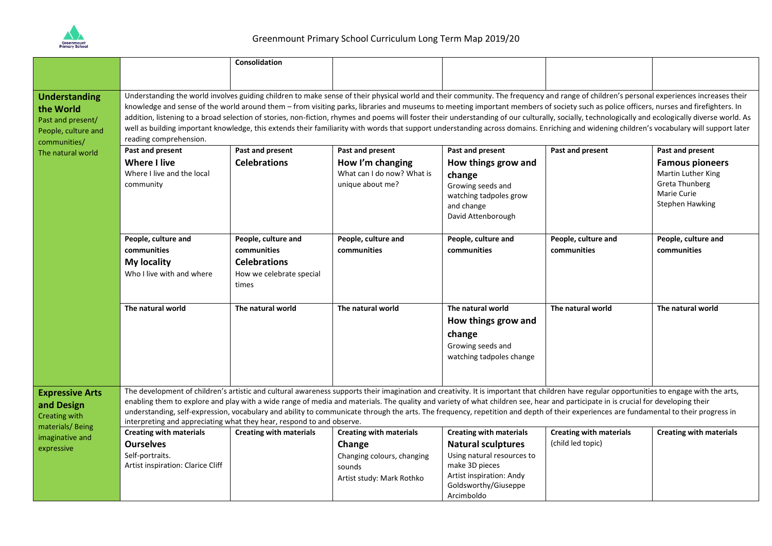

|                                                  |                                                                                                                                                                                                                                                                                                                                                                                   | Consolidation                  |                                |                                |                                |                                |  |  |
|--------------------------------------------------|-----------------------------------------------------------------------------------------------------------------------------------------------------------------------------------------------------------------------------------------------------------------------------------------------------------------------------------------------------------------------------------|--------------------------------|--------------------------------|--------------------------------|--------------------------------|--------------------------------|--|--|
|                                                  |                                                                                                                                                                                                                                                                                                                                                                                   |                                |                                |                                |                                |                                |  |  |
|                                                  |                                                                                                                                                                                                                                                                                                                                                                                   |                                |                                |                                |                                |                                |  |  |
| <b>Understanding</b><br>the World                | Understanding the world involves guiding children to make sense of their physical world and their community. The frequency and range of children's personal experiences increases their<br>knowledge and sense of the world around them - from visiting parks, libraries and museums to meeting important members of society such as police officers, nurses and firefighters. In |                                |                                |                                |                                |                                |  |  |
| Past and present/                                | addition, listening to a broad selection of stories, non-fiction, rhymes and poems will foster their understanding of our culturally, socially, technologically and ecologically diverse world. As                                                                                                                                                                                |                                |                                |                                |                                |                                |  |  |
| People, culture and                              | well as building important knowledge, this extends their familiarity with words that support understanding across domains. Enriching and widening children's vocabulary will support later                                                                                                                                                                                        |                                |                                |                                |                                |                                |  |  |
| communities/                                     | reading comprehension.                                                                                                                                                                                                                                                                                                                                                            |                                |                                |                                |                                |                                |  |  |
| The natural world                                | Past and present                                                                                                                                                                                                                                                                                                                                                                  | Past and present               | Past and present               | Past and present               | Past and present               | Past and present               |  |  |
|                                                  | <b>Where I live</b>                                                                                                                                                                                                                                                                                                                                                               | <b>Celebrations</b>            | How I'm changing               | How things grow and            |                                | <b>Famous pioneers</b>         |  |  |
|                                                  | Where I live and the local                                                                                                                                                                                                                                                                                                                                                        |                                | What can I do now? What is     | change                         |                                | Martin Luther King             |  |  |
|                                                  | community                                                                                                                                                                                                                                                                                                                                                                         |                                | unique about me?               | Growing seeds and              |                                | <b>Greta Thunberg</b>          |  |  |
|                                                  |                                                                                                                                                                                                                                                                                                                                                                                   |                                |                                | watching tadpoles grow         |                                | Marie Curie                    |  |  |
|                                                  |                                                                                                                                                                                                                                                                                                                                                                                   |                                |                                | and change                     |                                | <b>Stephen Hawking</b>         |  |  |
|                                                  |                                                                                                                                                                                                                                                                                                                                                                                   |                                |                                | David Attenborough             |                                |                                |  |  |
|                                                  | People, culture and                                                                                                                                                                                                                                                                                                                                                               | People, culture and            | People, culture and            | People, culture and            | People, culture and            | People, culture and            |  |  |
|                                                  | communities                                                                                                                                                                                                                                                                                                                                                                       | communities                    | communities                    | communities                    | communities                    | communities                    |  |  |
|                                                  | <b>My locality</b>                                                                                                                                                                                                                                                                                                                                                                | <b>Celebrations</b>            |                                |                                |                                |                                |  |  |
|                                                  | Who I live with and where                                                                                                                                                                                                                                                                                                                                                         | How we celebrate special       |                                |                                |                                |                                |  |  |
|                                                  |                                                                                                                                                                                                                                                                                                                                                                                   | times                          |                                |                                |                                |                                |  |  |
|                                                  |                                                                                                                                                                                                                                                                                                                                                                                   |                                |                                |                                |                                |                                |  |  |
|                                                  | The natural world                                                                                                                                                                                                                                                                                                                                                                 | The natural world              | The natural world              | The natural world              | The natural world              | The natural world              |  |  |
|                                                  |                                                                                                                                                                                                                                                                                                                                                                                   |                                |                                | How things grow and            |                                |                                |  |  |
|                                                  |                                                                                                                                                                                                                                                                                                                                                                                   |                                |                                | change                         |                                |                                |  |  |
|                                                  |                                                                                                                                                                                                                                                                                                                                                                                   |                                |                                | Growing seeds and              |                                |                                |  |  |
|                                                  |                                                                                                                                                                                                                                                                                                                                                                                   |                                |                                | watching tadpoles change       |                                |                                |  |  |
|                                                  |                                                                                                                                                                                                                                                                                                                                                                                   |                                |                                |                                |                                |                                |  |  |
|                                                  |                                                                                                                                                                                                                                                                                                                                                                                   |                                |                                |                                |                                |                                |  |  |
| <b>Expressive Arts</b>                           | The development of children's artistic and cultural awareness supports their imagination and creativity. It is important that children have regular opportunities to engage with the arts,                                                                                                                                                                                        |                                |                                |                                |                                |                                |  |  |
| and Design                                       | enabling them to explore and play with a wide range of media and materials. The quality and variety of what children see, hear and participate in is crucial for developing their<br>understanding, self-expression, vocabulary and ability to communicate through the arts. The frequency, repetition and depth of their experiences are fundamental to their progress in        |                                |                                |                                |                                |                                |  |  |
| Creating with                                    | interpreting and appreciating what they hear, respond to and observe.                                                                                                                                                                                                                                                                                                             |                                |                                |                                |                                |                                |  |  |
| materials/Being<br>imaginative and<br>expressive | <b>Creating with materials</b>                                                                                                                                                                                                                                                                                                                                                    | <b>Creating with materials</b> | <b>Creating with materials</b> | <b>Creating with materials</b> | <b>Creating with materials</b> | <b>Creating with materials</b> |  |  |
|                                                  | <b>Ourselves</b>                                                                                                                                                                                                                                                                                                                                                                  |                                | Change                         | <b>Natural sculptures</b>      | (child led topic)              |                                |  |  |
|                                                  | Self-portraits.                                                                                                                                                                                                                                                                                                                                                                   |                                | Changing colours, changing     | Using natural resources to     |                                |                                |  |  |
|                                                  | Artist inspiration: Clarice Cliff                                                                                                                                                                                                                                                                                                                                                 |                                | sounds                         | make 3D pieces                 |                                |                                |  |  |
|                                                  |                                                                                                                                                                                                                                                                                                                                                                                   |                                | Artist study: Mark Rothko      | Artist inspiration: Andy       |                                |                                |  |  |
|                                                  |                                                                                                                                                                                                                                                                                                                                                                                   |                                |                                | Goldsworthy/Giuseppe           |                                |                                |  |  |
|                                                  |                                                                                                                                                                                                                                                                                                                                                                                   |                                |                                | Arcimboldo                     |                                |                                |  |  |